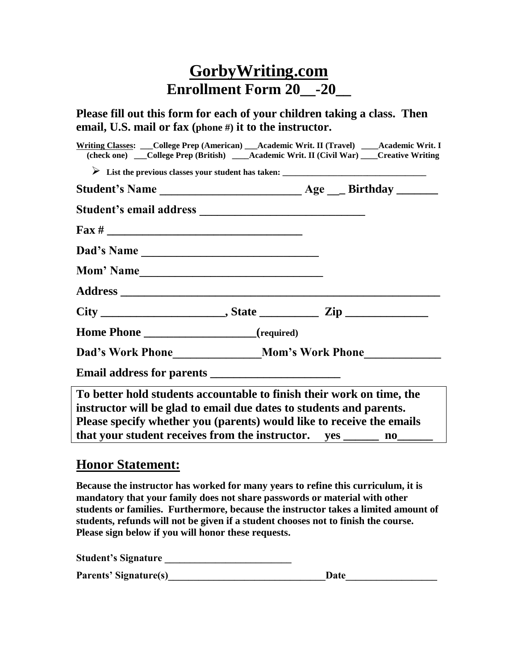## **GorbyWriting.com Enrollment Form 20\_\_-20\_\_**

**Please fill out this form for each of your children taking a class. Then email, U.S. mail or fax (phone #) it to the instructor.**

|                                            | Writing Classes: ___College Prep (American) ___Academic Writ. II (Travel) ____Academic Writ. I |
|--------------------------------------------|------------------------------------------------------------------------------------------------|
|                                            | (check one) ___College Prep (British) ____Academic Writ. II (Civil War) ____Creative Writing   |
|                                            |                                                                                                |
|                                            |                                                                                                |
|                                            |                                                                                                |
| $\frac{\text{Fax} \#$                      |                                                                                                |
| Dad's Name                                 |                                                                                                |
|                                            |                                                                                                |
|                                            |                                                                                                |
|                                            |                                                                                                |
| Home Phone _____________________(required) |                                                                                                |
|                                            |                                                                                                |
|                                            |                                                                                                |
|                                            | To better hold students accountable to finish their work on time, the                          |
|                                            | instructor will be glad to email due dates to students and parents.                            |
|                                            | Please specify whether you (parents) would like to receive the emails                          |
|                                            | that your student receives from the instructor. yes ________ no_______                         |
|                                            |                                                                                                |

## **Honor Statement:**

**Because the instructor has worked for many years to refine this curriculum, it is mandatory that your family does not share passwords or material with other students or families. Furthermore, because the instructor takes a limited amount of students, refunds will not be given if a student chooses not to finish the course. Please sign below if you will honor these requests.**

Student's Signature **Latitude 2018** 

| <b>Parents' Signature(s)</b><br>Date |  |  |
|--------------------------------------|--|--|
|--------------------------------------|--|--|